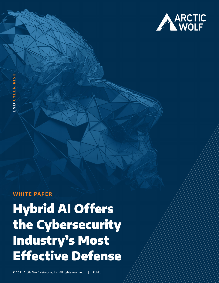

### **WHITE PAPER**

**END 2022 ARCHITE PAPER**<br> **CONFIDER**<br> **CYBER RISKS**<br> **CYBER RISKS**<br> **CHER CYBER RISKS**<br> **CHER RISKS**<br> **CHER RISKS**<br> **CHER RISKS** Hybrid AI Offers the Cybersecurity Industry's Most Effective Defense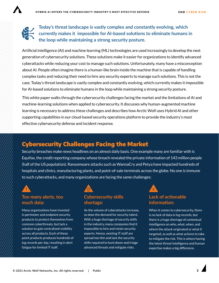

#### **Today's threat landscape is vastly complex and constantly evolving, which currently makes it impossible for AI-based solutions to eliminate humans in the loop while maintaining a strong security posture.**

Artificial intelligence (AI) and machine learning (ML) technologies are used increasingly to develop the next generation of cybersecurity solutions. These solutions make it easier for organizations to identify advanced cyberattacks while reducing your cost to manage such solutions. Unfortunately, many have a misconception about AI. People often imagine there is a human-like brain inside the machine that is capable of handling complex tasks and reducing their need to hire any security experts to manage such solutions. This is not the case. Today's threat landscape is vastly complex and constantly evolving, which currently makes it impossible for AI-based solutions to eliminate humans in the loop while maintaining a strong security posture.

This white paper walks through the cybersecurity challenges facing the market and the limitations of AI and machine-learning solutions when applied to cybersecurity. It discusses why human-augmented machine learning is necessary to address these challenges and describes how Arctic Wolf uses Hybrid AI and other supporting capabilities in our cloud-based security operations platform to provide the industry's most effective cybersecurity defense and incident response.

## Cybersecurity Challenges Facing the Market

Security breaches make news headlines on an almost daily basis. One example many are familiar with is Equifax, the credit reporting company whose breach revealed the private information of 143 million people (half of the US population). Ransomware attacks such as WannaCry and Petya have impacted hundreds of hospitals and clinics, manufacturing plants, and point-of-sale terminals across the globe. No one is immune to such cyberattacks, and many organizations are facing the same challenges:



#### **Too many alerts, too much data:**

Many organizations have invested in perimeter and endpoint security products to protect themselves from common cyberthreats, but lack a solution to gain centralized visibility across all products. Each of these point products produces hundreds of log records per day, resulting in alert fatigue for limited IT staff.



As the volume of cyberattacks increase, so does the demand for security talent. With a huge shortage of security skills in the industry, many companies find it impossible to hire and retain security experts. Hence, existing IT staff are spread too thin and lack the security skills required to hunt down and triage advanced threats and mitigate risks.



# **information:**

When it comes to cybersecurity, there is no lack of data in log records, but there is a huge shortage of contextual intelligence on who, what, when, and where the attack originated or what it targeted, as well as what actions to take to mitigate the risk. This is where having the latest threat intelligence and human expertise makes a big difference.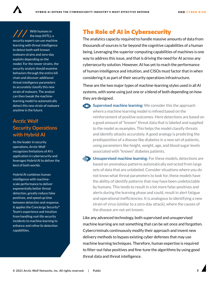With humans in the loop (HITL), a security expert can use machine learning with threat intelligence to detect both well-known malware strains and zero-day exploits depending on the model. For the newer strains, the security analyst should examine behaviors through the entire kill chain and discover additional threat intelligence parameters to accurately classify this new strain of malware. The analyst can then tweak the machinelearning model to automatically detect this new strain of malware anytime in the future.

#### **Arctic Wolf Security Operations with Hybrid AI**

As the leader in security operations, Arctic Wolf recognizes limitations of AI's application in cybersecurity and leverages Hybrid AI to deliver the best of both worlds.

Hybrid AI combines human intelligence with machinescale performance to deliver exponentially better threat detection, greatly reduce false positives, and speed up time between detection and response. It applies the Concierge Security® Team's experience and intuition from handling real-life security incidents to machine learning to enhance and refine its detection capabilities.

# The Role of AI in Cybersecurity

The analytics capacity required to handle massive amounts of data from thousands of sources is far beyond the cognitive capabilities of a human being. Leveraging the superior computing capabilities of machines is one way to address this issue, and that is driving the need for AI across any cybersecurity solution. However, AI has yet to reach the performance of human intelligence and intuition, and CISOs must factor that in when considering it as part of their security operations infrastructure.

These are the two major types of machine-learning styles used in all AI systems, with some using just one or a blend of both depending on how they are designed.

**Supervised machine learning:** We consider this the approach where a machine learning model is refined based on the reinforcement of positive outcomes. Here detections are based on a good amount of "known" threat data that is labeled and supplied to the model as examples. This helps the model classify threats and identify attacks accurately. A good analogy is predicting the predisposition of a disease like diabetes in a new set of patients, using parameters like height, weight, age, and blood sugar levels associated with "known" diabetes patients.

**Unsupervised machine learning:** For these models, detections are based on anomalous patterns automatically extracted from large sets of data that are unlabeled. Consider situations where you do not know what threat parameters to look for, these models have the ability of identify patterns that may have been undetectable by humans. This tends to result in a lot more false-positives and alerts during the learning phase and could, result in alert fatigue and operational inefficiencies. It is analogous to identifying a new strain of virus (similar to a zero-day attack), where the causes of the disease are not yet known.

Like any advanced technology, both supervised and unsupervised machine learning are not something that can be set once and forgotten. Cybercriminals continuously modify their approach and invent new delivery methods to bypass existing cyber defenses that may use machine learning techniques. Therefore, human expertise is required to filter-out false positives and fine-tune the algorithms by using good threat data and threat intelligence.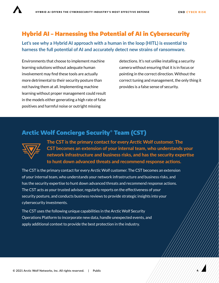**4**

# Hybrid AI – Harnessing the Potential of AI in Cybersecurity

**Let's see why a Hybrid AI approach with a human in the loop (HITL) is essential to harness the full potential of AI and accurately detect new strains of ransomware.**

Environments that choose to implement machine learning solutions without adequate human involvement may find these tools are actually more detrimental to their security posture than not having them at all. Implementing machine learning without proper management could result in the models either generating a high rate of false positives and harmful noise or outright missing

detections. It's not unlike installing a security camera without ensuring that it is in focus or pointing in the correct direction. Without the correct tuning and management, the only thing it provides is a false sense of security.

### Arctic Wolf Concierge Security® Team (CST)



**The CST is the primary contact for every Arctic Wolf customer. The CST becomes an extension of your internal team, who understands your network infrastructure and business risks, and has the security expertise to hunt down advanced threats and recommend response actions.**

The CST is the primary contact for every Arctic Wolf customer. The CST becomes an extension of your internal team, who understands your network infrastructure and business risks, and has the security expertise to hunt down advanced threats and recommend response actions. The CST acts as your trusted advisor, regularly reports on the effectiveness of your security posture, and conducts business reviews to provide strategic insights into your cybersecurity investments.

The CST uses the following unique capabilities in the Arctic Wolf Security Operations Platform to incorporate new data, handle unexpected events, and apply additional context to provide the best protection in the industry.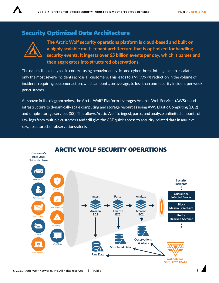# Security Optimized Data Architecture



**The Arctic Wolf security operations platform is cloud-based and built on a highly scalable multi-tenant architecture that is optimized for handling security events. It ingests over 65 billion events per day, which it parses and then aggregates into structured observations.**

The data is then analyzed in context using behavior analytics and cyber threat intelligence to escalate only the most severe incidents across all customers. This leads to a 99.9997% reduction in the volume of incidents requiring customer action, which amounts, on average, to less than one security incident per week per customer.

As shown in the diagram below, the Arctic Wolf® Platform leverages Amazon Web Services (AWS) cloud infrastructure to dynamically scale computing and storage resources using AWS Elastic Computing (EC2) and simple storage services (S3). This allows Arctic Wolf to ingest, parse, and analyze unlimited amounts of raw logs from multiple customers and still give the CST quick access to security-related data in any level raw, structured, or observations/alerts.

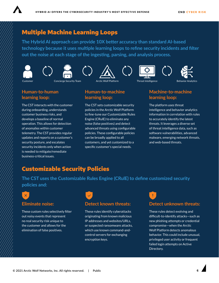

## Multiple Machine Learning Loops

**The Hybrid AI approach can provide 10X better accuracy than standard AI-based technology because it uses multiple learning loops to refine security incidents and filter out the noise at each stage of the ingesting, parsing, and analysis process.**













**Human-to-human learning loop:**

The CST interacts with the customer during onboarding, understands customer business risks, and develops a baseline of normal operation. This allows for detection of anomalies within customer telemetry. The CST provides regular updates and reports on a customer's security posture, and escalates security incidents only when action is needed to mitigate/remediate business-critical issues.

#### **Human-to-machine learning loop:**

The CST sets customizable security policies in the Arctic Wolf Platform to fine-tune our Customizable Rules Engine (CRulE) to eliminate any noise (false positives) and detect advanced threats using configurable policies. These configurable policies can be broadly applied to all customers, and yet customized to a specific customer's special needs.

#### **Machine-to-machine learning loop:**

The platform uses threat intelligence and behavior analytics information in correlation with rules to accurately identify the latest threats. It leverages a diverse set of threat intelligence data, such as software vulnerabilities, advanced malware, emerging network threats, and web-based threats.

# Customizable Security Policies

**The CST uses the Customizable Rules Engine (CRulE) to define customized security policies and:**

# $\overline{\mathsf{x}}$

#### **Eliminate noise:**

These custom rules selectively filter out noisy events that represent no real security risk unique to the customer and allows for the elimination of false positives.

#### **Detect known threats:**

These rules identify cyberattacks originating from known malicious IP addresses and websites/URLs, or suspected ransomware attacks, which use known command-andcontrol servers for exchanging encryption keys.



These rules detect evolving and difficult-to-identify attacks—such as new phishing attempts or credential compromise—when the Arctic Wolf Platform detects anomalous behavior. This could include unusual, privileged user activity or frequent failed login attempts on Active Directory.